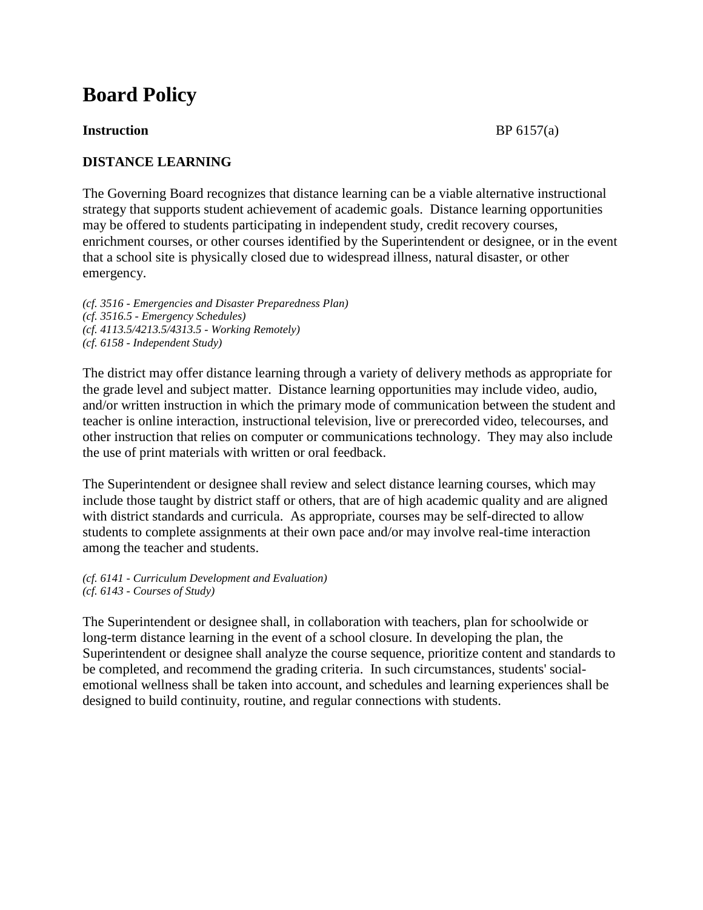# **Board Policy**

### **Instruction** BP 6157(a)

## **DISTANCE LEARNING**

The Governing Board recognizes that distance learning can be a viable alternative instructional strategy that supports student achievement of academic goals. Distance learning opportunities may be offered to students participating in independent study, credit recovery courses, enrichment courses, or other courses identified by the Superintendent or designee, or in the event that a school site is physically closed due to widespread illness, natural disaster, or other emergency.

*(cf. 3516 - Emergencies and Disaster Preparedness Plan) (cf. 3516.5 - Emergency Schedules) (cf. 4113.5/4213.5/4313.5 - Working Remotely) (cf. 6158 - Independent Study)*

The district may offer distance learning through a variety of delivery methods as appropriate for the grade level and subject matter. Distance learning opportunities may include video, audio, and/or written instruction in which the primary mode of communication between the student and teacher is online interaction, instructional television, live or prerecorded video, telecourses, and other instruction that relies on computer or communications technology. They may also include the use of print materials with written or oral feedback.

The Superintendent or designee shall review and select distance learning courses, which may include those taught by district staff or others, that are of high academic quality and are aligned with district standards and curricula. As appropriate, courses may be self-directed to allow students to complete assignments at their own pace and/or may involve real-time interaction among the teacher and students.

*(cf. 6141 - Curriculum Development and Evaluation) (cf. 6143 - Courses of Study)*

The Superintendent or designee shall, in collaboration with teachers, plan for schoolwide or long-term distance learning in the event of a school closure. In developing the plan, the Superintendent or designee shall analyze the course sequence, prioritize content and standards to be completed, and recommend the grading criteria. In such circumstances, students' socialemotional wellness shall be taken into account, and schedules and learning experiences shall be designed to build continuity, routine, and regular connections with students.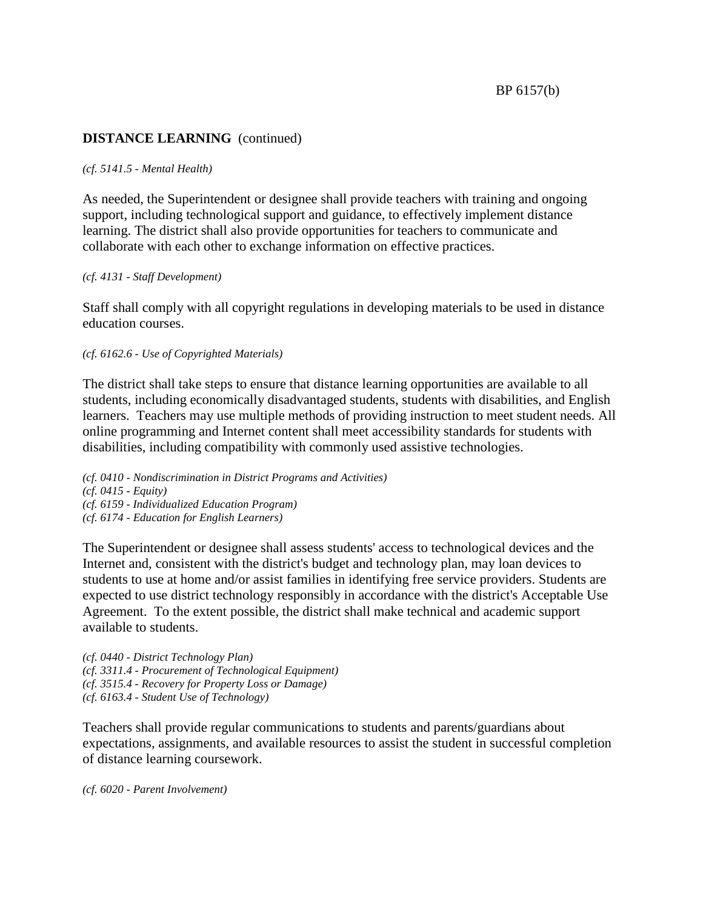## **DISTANCE LEARNING** (continued)

#### *(cf. 5141.5 - Mental Health)*

As needed, the Superintendent or designee shall provide teachers with training and ongoing support, including technological support and guidance, to effectively implement distance learning. The district shall also provide opportunities for teachers to communicate and collaborate with each other to exchange information on effective practices.

#### *(cf. 4131 - Staff Development)*

Staff shall comply with all copyright regulations in developing materials to be used in distance education courses.

#### *(cf. 6162.6 - Use of Copyrighted Materials)*

The district shall take steps to ensure that distance learning opportunities are available to all students, including economically disadvantaged students, students with disabilities, and English learners. Teachers may use multiple methods of providing instruction to meet student needs. All online programming and Internet content shall meet accessibility standards for students with disabilities, including compatibility with commonly used assistive technologies.

*(cf. 0410 - Nondiscrimination in District Programs and Activities) (cf. 0415 - Equity) (cf. 6159 - Individualized Education Program) (cf. 6174 - Education for English Learners)*

The Superintendent or designee shall assess students' access to technological devices and the Internet and, consistent with the district's budget and technology plan, may loan devices to students to use at home and/or assist families in identifying free service providers. Students are expected to use district technology responsibly in accordance with the district's Acceptable Use Agreement. To the extent possible, the district shall make technical and academic support available to students.

*(cf. 0440 - District Technology Plan) (cf. 3311.4 - Procurement of Technological Equipment) (cf. 3515.4 - Recovery for Property Loss or Damage) (cf. 6163.4 - Student Use of Technology)*

Teachers shall provide regular communications to students and parents/guardians about expectations, assignments, and available resources to assist the student in successful completion of distance learning coursework.

*(cf. 6020 - Parent Involvement)*